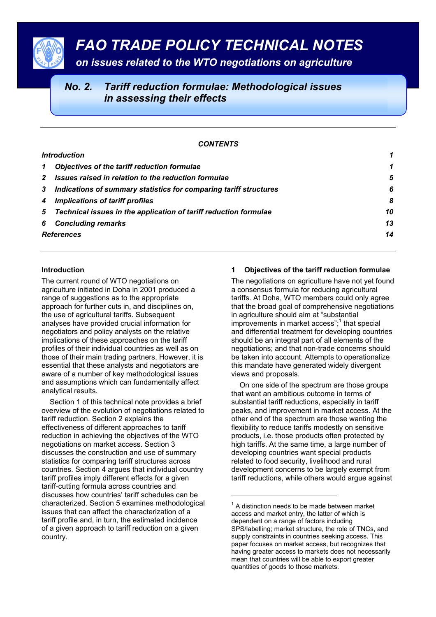*FAO TRADE POLICY TECHNICAL NOTES*

 *on issues related to the WTO negotiations on agriculture* 

# *No. 2. Tariff reduction formulae: Methodological issues in assessing their effects*

#### *CONTENTS*

|              | Introduction                                                        | 1  |
|--------------|---------------------------------------------------------------------|----|
| $\mathbf{1}$ | Objectives of the tariff reduction formulae                         | 1  |
|              | 2 Issues raised in relation to the reduction formulae               | 5  |
|              | 3 Indications of summary statistics for comparing tariff structures | 6  |
|              | 4 Implications of tariff profiles                                   | 8  |
|              | 5 Technical issues in the application of tariff reduction formulae  | 10 |
|              | 6 Concluding remarks                                                | 13 |
|              | References                                                          | 14 |
|              |                                                                     |    |

 $\overline{a}$ 

# **Introduction**

The current round of WTO negotiations on agriculture initiated in Doha in 2001 produced a range of suggestions as to the appropriate approach for further cuts in, and disciplines on, the use of agricultural tariffs. Subsequent analyses have provided crucial information for negotiators and policy analysts on the relative implications of these approaches on the tariff profiles of their individual countries as well as on those of their main trading partners. However, it is essential that these analysts and negotiators are aware of a number of key methodological issues and assumptions which can fundamentally affect analytical results.

Section 1 of this technical note provides a brief overview of the evolution of negotiations related to tariff reduction. Section 2 explains the effectiveness of different approaches to tariff reduction in achieving the objectives of the WTO negotiations on market access. Section 3 discusses the construction and use of summary statistics for comparing tariff structures across countries. Section 4 argues that individual country tariff profiles imply different effects for a given tariff-cutting formula across countries and discusses how countries' tariff schedules can be characterized. Section 5 examines methodological issues that can affect the characterization of a tariff profile and, in turn, the estimated incidence of a given approach to tariff reduction on a given country.

#### **1 Objectives of the tariff reduction formulae**

The negotiations on agriculture have not yet found a consensus formula for reducing agricultural tariffs. At Doha, WTO members could only agree that the broad goal of comprehensive negotiations in agriculture should aim at "substantial improvements in market access";<sup>1</sup> that special and differential treatment for developing countries should be an integral part of all elements of the negotiations; and that non-trade concerns should be taken into account. Attempts to operationalize this mandate have generated widely divergent views and proposals.

On one side of the spectrum are those groups that want an ambitious outcome in terms of substantial tariff reductions, especially in tariff peaks, and improvement in market access. At the other end of the spectrum are those wanting the flexibility to reduce tariffs modestly on sensitive products, i.e. those products often protected by high tariffs. At the same time, a large number of developing countries want special products related to food security, livelihood and rural development concerns to be largely exempt from tariff reductions, while others would argue against



 $<sup>1</sup>$  A distinction needs to be made between market</sup> access and market entry, the latter of which is dependent on a range of factors including SPS/labelling; market structure, the role of TNCs, and supply constraints in countries seeking access. This paper focuses on market access, but recognizes that having greater access to markets does not necessarily mean that countries will be able to export greater quantities of goods to those markets.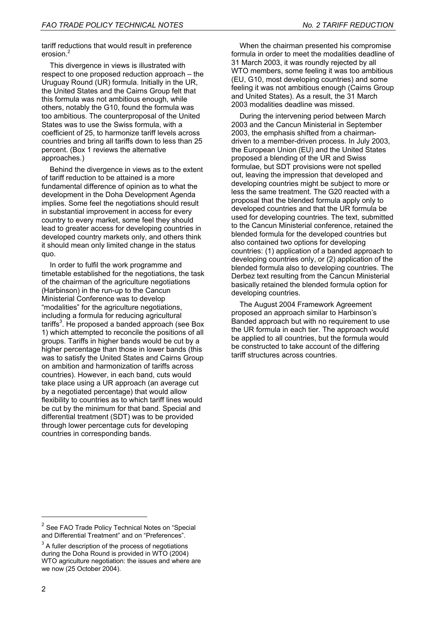tariff reductions that would result in preference erosion. $^{2}$ 

This divergence in views is illustrated with respect to one proposed reduction approach – the Uruguay Round (UR) formula. Initially in the UR, the United States and the Cairns Group felt that this formula was not ambitious enough, while others, notably the G10, found the formula was too ambitious. The counterproposal of the United States was to use the Swiss formula, with a coefficient of 25, to harmonize tariff levels across countries and bring all tariffs down to less than 25 percent. (Box 1 reviews the alternative approaches.)

Behind the divergence in views as to the extent of tariff reduction to be attained is a more fundamental difference of opinion as to what the development in the Doha Development Agenda implies. Some feel the negotiations should result in substantial improvement in access for every country to every market, some feel they should lead to greater access for developing countries in developed country markets only, and others think it should mean only limited change in the status quo.

In order to fulfil the work programme and timetable established for the negotiations, the task of the chairman of the agriculture negotiations (Harbinson) in the run-up to the Cancun Ministerial Conference was to develop "modalities" for the agriculture negotiations, including a formula for reducing agricultural tariffs<sup>3</sup>. He proposed a banded approach (see Box 1) which attempted to reconcile the positions of all groups. Tariffs in higher bands would be cut by a higher percentage than those in lower bands (this was to satisfy the United States and Cairns Group on ambition and harmonization of tariffs across countries). However, in each band, cuts would take place using a UR approach (an average cut by a negotiated percentage) that would allow flexibility to countries as to which tariff lines would be cut by the minimum for that band. Special and differential treatment (SDT) was to be provided through lower percentage cuts for developing countries in corresponding bands.

When the chairman presented his compromise formula in order to meet the modalities deadline of 31 March 2003, it was roundly rejected by all WTO members, some feeling it was too ambitious (EU, G10, most developing countries) and some feeling it was not ambitious enough (Cairns Group and United States). As a result, the 31 March 2003 modalities deadline was missed.

During the intervening period between March 2003 and the Cancun Ministerial in September 2003, the emphasis shifted from a chairmandriven to a member-driven process. In July 2003, the European Union (EU) and the United States proposed a blending of the UR and Swiss formulae, but SDT provisions were not spelled out, leaving the impression that developed and developing countries might be subject to more or less the same treatment. The G20 reacted with a proposal that the blended formula apply only to developed countries and that the UR formula be used for developing countries. The text, submitted to the Cancun Ministerial conference, retained the blended formula for the developed countries but also contained two options for developing countries: (1) application of a banded approach to developing countries only, or (2) application of the blended formula also to developing countries. The Derbez text resulting from the Cancun Ministerial basically retained the blended formula option for developing countries.

The August 2004 Framework Agreement proposed an approach similar to Harbinson's Banded approach but with no requirement to use the UR formula in each tier. The approach would be applied to all countries, but the formula would be constructed to take account of the differing tariff structures across countries.

l

<sup>&</sup>lt;sup>2</sup> See FAO Trade Policy Technical Notes on "Special and Differential Treatment" and on "Preferences".

 $3$  A fuller description of the process of negotiations during the Doha Round is provided in WTO (2004) WTO agriculture negotiation: the issues and where are we now (25 October 2004).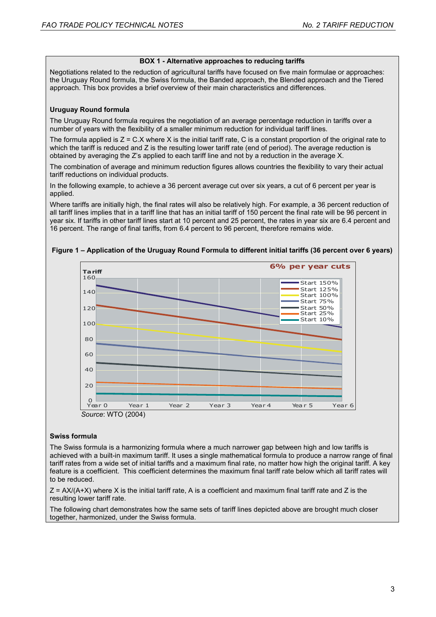## **BOX 1 - Alternative approaches to reducing tariffs**

Negotiations related to the reduction of agricultural tariffs have focused on five main formulae or approaches: the Uruguay Round formula, the Swiss formula, the Banded approach, the Blended approach and the Tiered approach. This box provides a brief overview of their main characteristics and differences.

# **Uruguay Round formula**

The Uruguay Round formula requires the negotiation of an average percentage reduction in tariffs over a number of years with the flexibility of a smaller minimum reduction for individual tariff lines.

The formula applied is  $Z = C.X$  where X is the initial tariff rate, C is a constant proportion of the original rate to which the tariff is reduced and Z is the resulting lower tariff rate (end of period). The average reduction is obtained by averaging the Z's applied to each tariff line and not by a reduction in the average X.

The combination of average and minimum reduction figures allows countries the flexibility to vary their actual tariff reductions on individual products.

In the following example, to achieve a 36 percent average cut over six years, a cut of 6 percent per year is applied.

Where tariffs are initially high, the final rates will also be relatively high. For example, a 36 percent reduction of all tariff lines implies that in a tariff line that has an initial tariff of 150 percent the final rate will be 96 percent in year six. If tariffs in other tariff lines start at 10 percent and 25 percent, the rates in year six are 6.4 percent and 16 percent. The range of final tariffs, from 6.4 percent to 96 percent, therefore remains wide.



**Figure 1 – Application of the Uruguay Round Formula to different initial tariffs (36 percent over 6 years)** 

# **Swiss formula**

The Swiss formula is a harmonizing formula where a much narrower gap between high and low tariffs is achieved with a built-in maximum tariff. It uses a single mathematical formula to produce a narrow range of final tariff rates from a wide set of initial tariffs and a maximum final rate, no matter how high the original tariff. A key feature is a coefficient. This coefficient determines the maximum final tariff rate below which all tariff rates will to be reduced.

 $Z = AX/(A+X)$  where X is the initial tariff rate. A is a coefficient and maximum final tariff rate and Z is the resulting lower tariff rate.

The following chart demonstrates how the same sets of tariff lines depicted above are brought much closer together, harmonized, under the Swiss formula.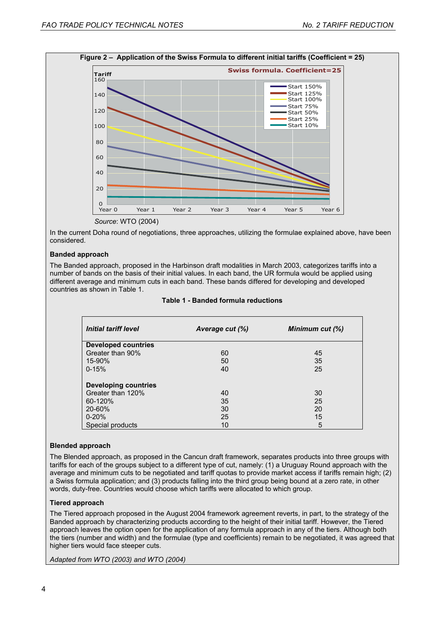

*Source*: WTO (2004)

In the current Doha round of negotiations, three approaches, utilizing the formulae explained above, have been considered.

# **Banded approach**

The Banded approach, proposed in the Harbinson draft modalities in March 2003, categorizes tariffs into a number of bands on the basis of their initial values. In each band, the UR formula would be applied using different average and minimum cuts in each band. These bands differed for developing and developed countries as shown in Table 1.

| Table 1 - Banded formula reductions |  |  |
|-------------------------------------|--|--|
|-------------------------------------|--|--|

| Initial tariff level        | Average cut (%) | Minimum cut (%) |
|-----------------------------|-----------------|-----------------|
| <b>Developed countries</b>  |                 |                 |
| Greater than 90%            | 60              | 45              |
| 15-90%                      | 50              | 35              |
| $0 - 15%$                   | 40              | 25              |
| <b>Developing countries</b> |                 |                 |
| Greater than 120%           | 40              | 30              |
| 60-120%                     | 35              | 25              |
| 20-60%                      | 30              | 20              |
| $0 - 20%$                   | 25              | 15              |
| Special products            | 10              | 5               |

#### **Blended approach**

The Blended approach, as proposed in the Cancun draft framework, separates products into three groups with tariffs for each of the groups subject to a different type of cut, namely: (1) a Uruguay Round approach with the average and minimum cuts to be negotiated and tariff quotas to provide market access if tariffs remain high; (2) a Swiss formula application; and (3) products falling into the third group being bound at a zero rate, in other words, duty-free. Countries would choose which tariffs were allocated to which group.

#### **Tiered approach**

The Tiered approach proposed in the August 2004 framework agreement reverts, in part, to the strategy of the Banded approach by characterizing products according to the height of their initial tariff. However, the Tiered approach leaves the option open for the application of any formula approach in any of the tiers. Although both the tiers (number and width) and the formulae (type and coefficients) remain to be negotiated, it was agreed that higher tiers would face steeper cuts.

*Adapted from WTO (2003) and WTO (2004)*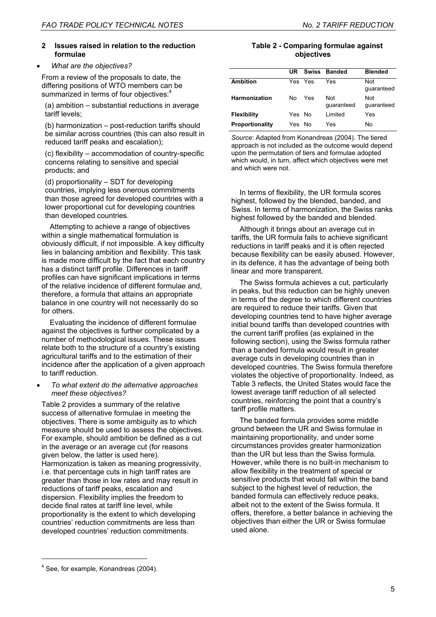#### • *What are the objectives?*

From a review of the proposals to date, the differing positions of WTO members can be summarized in terms of four objectives:<sup>4</sup>

(a) ambition – substantial reductions in average tariff levels;

(b) harmonization – post-reduction tariffs should be similar across countries (this can also result in reduced tariff peaks and escalation);

(c) flexibility – accommodation of country-specific concerns relating to sensitive and special products; and

(d) proportionality – SDT for developing countries, implying less onerous commitments than those agreed for developed countries with a lower proportional cut for developing countries than developed countries.

Attempting to achieve a range of objectives within a single mathematical formulation is obviously difficult, if not impossible. A key difficulty lies in balancing ambition and flexibility. This task is made more difficult by the fact that each country has a distinct tariff profile. Differences in tariff profiles can have significant implications in terms of the relative incidence of different formulae and, therefore, a formula that attains an appropriate balance in one country will not necessarily do so for others.

Evaluating the incidence of different formulae against the objectives is further complicated by a number of methodological issues. These issues relate both to the structure of a country's existing agricultural tariffs and to the estimation of their incidence after the application of a given approach to tariff reduction.

#### • *To what extent do the alternative approaches meet these objectives?*

Table 2 provides a summary of the relative success of alternative formulae in meeting the objectives. There is some ambiguity as to which measure should be used to assess the objectives. For example, should ambition be defined as a cut in the average or an average cut (for reasons given below, the latter is used here). Harmonization is taken as meaning progressivity, i.e. that percentage cuts in high tariff rates are greater than those in low rates and may result in reductions of tariff peaks, escalation and dispersion. Flexibility implies the freedom to decide final rates at tariff line level, while proportionality is the extent to which developing countries' reduction commitments are less than developed countries' reduction commitments.

l

#### **Table 2 - Comparing formulae against objectives**

|                      | UR     |         | Swiss Banded      | <b>Blended</b>           |
|----------------------|--------|---------|-------------------|--------------------------|
| <b>Ambition</b>      |        | Yes Yes | Yes               | <b>Not</b><br>guaranteed |
| <b>Harmonization</b> | N٥     | Yes     | Not<br>guaranteed | Not<br>guaranteed        |
| <b>Flexibility</b>   | Yes No |         | I imited          | Yes                      |
| Proportionality      | Yes No |         | Yes               | No                       |

*Source*: Adapted from Konandreas (2004). The tiered approach is not included as the outcome would depend upon the permutation of tiers and formulae adopted which would, in turn, affect which objectives were met and which were not.

In terms of flexibility, the UR formula scores highest, followed by the blended, banded, and Swiss. In terms of harmonization, the Swiss ranks highest followed by the banded and blended.

Although it brings about an average cut in tariffs, the UR formula fails to achieve significant reductions in tariff peaks and it is often rejected because flexibility can be easily abused. However, in its defence, it has the advantage of being both linear and more transparent.

The Swiss formula achieves a cut, particularly in peaks, but this reduction can be highly uneven in terms of the degree to which different countries are required to reduce their tariffs. Given that developing countries tend to have higher average initial bound tariffs than developed countries with the current tariff profiles (as explained in the following section), using the Swiss formula rather than a banded formula would result in greater average cuts in developing countries than in developed countries. The Swiss formula therefore violates the objective of proportionality. Indeed, as Table 3 reflects, the United States would face the lowest average tariff reduction of all selected countries, reinforcing the point that a country's tariff profile matters.

The banded formula provides some middle ground between the UR and Swiss formulae in maintaining proportionality, and under some circumstances provides greater harmonization than the UR but less than the Swiss formula. However, while there is no built-in mechanism to allow flexibility in the treatment of special or sensitive products that would fall within the band subject to the highest level of reduction, the banded formula can effectively reduce peaks, albeit not to the extent of the Swiss formula. It offers, therefore, a better balance in achieving the objectives than either the UR or Swiss formulae used alone.

<sup>&</sup>lt;sup>4</sup> See, for example, Konandreas (2004).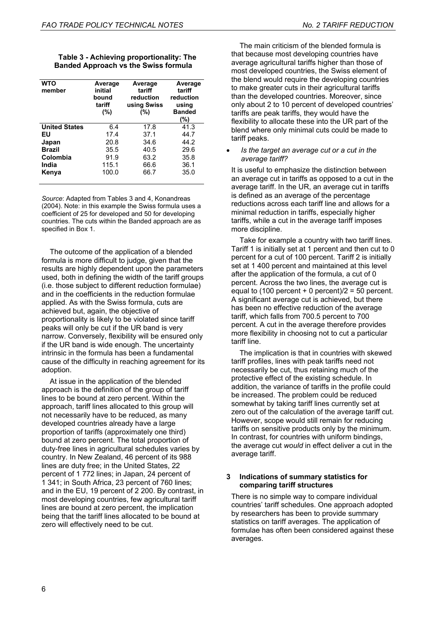**Table 3 - Achieving proportionality: The Banded Approach vs the Swiss formula** 

| <b>WTO</b><br>member | Average<br>initial<br>bound<br>tariff<br>(%) | Average<br>tariff<br>reduction<br>using Swiss<br>(%) | Average<br>tariff<br>reduction<br>using<br><b>Banded</b><br>(%) |
|----------------------|----------------------------------------------|------------------------------------------------------|-----------------------------------------------------------------|
| <b>United States</b> | 6.4                                          | 17.8                                                 | 41.3                                                            |
| EU                   | 17.4                                         | 37.1                                                 | 44.7                                                            |
| Japan                | 20.8                                         | 34.6                                                 | 44.2                                                            |
| <b>Brazil</b>        | 35.5                                         | 40.5                                                 | 29.6                                                            |
| Colombia             | 91.9                                         | 63.2                                                 | 35.8                                                            |
| India                | 115.1                                        | 66.6                                                 | 36.1                                                            |
| Kenya                | 100.0                                        | 66.7                                                 | 35.0                                                            |

*Source*: Adapted from Tables 3 and 4, Konandreas (2004). Note: in this example the Swiss formula uses a coefficient of 25 for developed and 50 for developing countries. The cuts within the Banded approach are as specified in Box 1.

The outcome of the application of a blended formula is more difficult to judge, given that the results are highly dependent upon the parameters used, both in defining the width of the tariff groups (i.e. those subject to different reduction formulae) and in the coefficients in the reduction formulae applied. As with the Swiss formula, cuts are achieved but, again, the objective of proportionality is likely to be violated since tariff peaks will only be cut if the UR band is very narrow. Conversely, flexibility will be ensured only if the UR band is wide enough. The uncertainty intrinsic in the formula has been a fundamental cause of the difficulty in reaching agreement for its adoption.

At issue in the application of the blended approach is the definition of the group of tariff lines to be bound at zero percent. Within the approach, tariff lines allocated to this group will not necessarily have to be reduced, as many developed countries already have a large proportion of tariffs (approximately one third) bound at zero percent. The total proportion of duty-free lines in agricultural schedules varies by country. In New Zealand, 46 percent of its 988 lines are duty free; in the United States, 22 percent of 1 772 lines; in Japan, 24 percent of 1 341; in South Africa, 23 percent of 760 lines; and in the EU, 19 percent of 2 200. By contrast, in most developing countries, few agricultural tariff lines are bound at zero percent, the implication being that the tariff lines allocated to be bound at zero will effectively need to be cut.

The main criticism of the blended formula is that because most developing countries have average agricultural tariffs higher than those of most developed countries, the Swiss element of the blend would require the developing countries to make greater cuts in their agricultural tariffs than the developed countries. Moreover, since only about 2 to 10 percent of developed countries' tariffs are peak tariffs, they would have the flexibility to allocate these into the UR part of the blend where only minimal cuts could be made to tariff peaks.

#### • *Is the target an average cut or a cut in the average tariff?*

It is useful to emphasize the distinction between an average cut in tariffs as opposed to a cut in the average tariff. In the UR, an average cut in tariffs is defined as an average of the percentage reductions across each tariff line and allows for a minimal reduction in tariffs, especially higher tariffs, while a cut in the average tariff imposes more discipline.

Take for example a country with two tariff lines. Tariff 1 is initially set at 1 percent and then cut to 0 percent for a cut of 100 percent. Tariff 2 is initially set at 1 400 percent and maintained at this level after the application of the formula, a cut of 0 percent. Across the two lines, the average cut is equal to (100 percent  $+$  0 percent)/2 = 50 percent. A significant average cut is achieved, but there has been no effective reduction of the average tariff, which falls from 700.5 percent to 700 percent. A cut in the average therefore provides more flexibility in choosing not to cut a particular tariff line.

The implication is that in countries with skewed tariff profiles, lines with peak tariffs need not necessarily be cut, thus retaining much of the protective effect of the existing schedule. In addition, the variance of tariffs in the profile could be increased. The problem could be reduced somewhat by taking tariff lines currently set at zero out of the calculation of the average tariff cut. However, scope would still remain for reducing tariffs on sensitive products only by the minimum. In contrast, for countries with uniform bindings, the average cut *would* in effect deliver a cut in the average tariff.

# **3 Indications of summary statistics for comparing tariff structures**

There is no simple way to compare individual countries' tariff schedules. One approach adopted by researchers has been to provide summary statistics on tariff averages. The application of formulae has often been considered against these averages.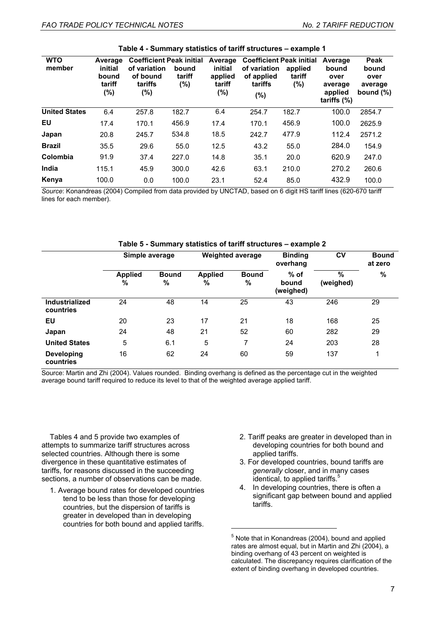| <b>WTO</b><br>member | Average<br>initial<br>bound<br>tariff<br>(%) | <b>Coefficient Peak initial</b><br>of variation<br>of bound<br>tariffs<br>(%) | bound<br>tariff<br>$(\% )$ | Average<br>initial<br>applied<br>tariff<br>(%) | <b>Coefficient Peak initial</b><br>of variation<br>of applied<br>tariffs<br>(%) | applied<br>tariff<br>(%) | Average<br>bound<br>over<br>average<br>applied<br>tariffs $(\%)$ | Peak<br>bound<br>over<br>average<br>bound $(\%)$ |
|----------------------|----------------------------------------------|-------------------------------------------------------------------------------|----------------------------|------------------------------------------------|---------------------------------------------------------------------------------|--------------------------|------------------------------------------------------------------|--------------------------------------------------|
| <b>United States</b> | 6.4                                          | 257.8                                                                         | 182.7                      | 6.4                                            | 254.7                                                                           | 182.7                    | 100.0                                                            | 2854.7                                           |
| EU                   | 17.4                                         | 170.1                                                                         | 456.9                      | 17.4                                           | 170.1                                                                           | 456.9                    | 100.0                                                            | 2625.9                                           |
| Japan                | 20.8                                         | 245.7                                                                         | 534.8                      | 18.5                                           | 242.7                                                                           | 477.9                    | 112.4                                                            | 2571.2                                           |
| <b>Brazil</b>        | 35.5                                         | 29.6                                                                          | 55.0                       | 12.5                                           | 43.2                                                                            | 55.0                     | 284.0                                                            | 154.9                                            |
| Colombia             | 91.9                                         | 37.4                                                                          | 227.0                      | 14.8                                           | 35.1                                                                            | 20.0                     | 620.9                                                            | 247.0                                            |
| India                | 115.1                                        | 45.9                                                                          | 300.0                      | 42.6                                           | 63.1                                                                            | 210.0                    | 270.2                                                            | 260.6                                            |
| Kenya                | 100.0                                        | 0.0                                                                           | 100.0                      | 23.1                                           | 52.4                                                                            | 85.0                     | 432.9                                                            | 100.0                                            |

#### **Table 4 - Summary statistics of tariff structures – example 1**

*Source*: Konandreas (2004) Compiled from data provided by UNCTAD, based on 6 digit HS tariff lines (620-670 tariff lines for each member).

|                                | Simple average  |                      | <b>Weighted average</b> |                   | <b>Binding</b><br>overhang   | CV                         | <b>Bound</b><br>at zero |
|--------------------------------|-----------------|----------------------|-------------------------|-------------------|------------------------------|----------------------------|-------------------------|
|                                | Applied<br>$\%$ | <b>Bound</b><br>$\%$ | <b>Applied</b><br>%     | <b>Bound</b><br>% | $%$ of<br>bound<br>(weighed) | $\frac{0}{0}$<br>(weighed) | %                       |
| Industrialized<br>countries    | 24              | 48                   | 14                      | 25                | 43                           | 246                        | 29                      |
| EU                             | 20              | 23                   | 17                      | 21                | 18                           | 168                        | 25                      |
| Japan                          | 24              | 48                   | 21                      | 52                | 60                           | 282                        | 29                      |
| <b>United States</b>           | 5               | 6.1                  | 5                       | 7                 | 24                           | 203                        | 28                      |
| <b>Developing</b><br>countries | 16              | 62                   | 24                      | 60                | 59                           | 137                        | 1                       |

#### **Table 5 - Summary statistics of tariff structures – example 2**

Source: Martin and Zhi (2004). Values rounded. Binding overhang is defined as the percentage cut in the weighted average bound tariff required to reduce its level to that of the weighted average applied tariff.

l

Tables 4 and 5 provide two examples of attempts to summarize tariff structures across selected countries. Although there is some divergence in these quantitative estimates of tariffs, for reasons discussed in the succeeding sections, a number of observations can be made.

- 1. Average bound rates for developed countries tend to be less than those for developing countries, but the dispersion of tariffs is greater in developed than in developing countries for both bound and applied tariffs.
- 2. Tariff peaks are greater in developed than in developing countries for both bound and applied tariffs.
- 3. For developed countries, bound tariffs are *generally* closer, and in many cases identical, to applied tariffs.<sup>5</sup>
- 4. In developing countries, there is often a significant gap between bound and applied tariffs.

<sup>&</sup>lt;sup>5</sup> Note that in Konandreas (2004), bound and applied rates are almost equal, but in Martin and Zhi (2004), a binding overhang of 43 percent on weighted is calculated. The discrepancy requires clarification of the extent of binding overhang in developed countries.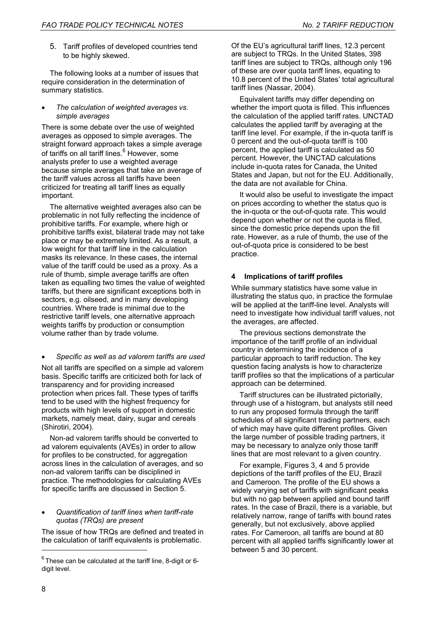5. Tariff profiles of developed countries tend to be highly skewed.

The following looks at a number of issues that require consideration in the determination of summary statistics.

• *The calculation of weighted averages vs. simple averages* 

There is some debate over the use of weighted averages as opposed to simple averages. The straight forward approach takes a simple average of tariffs on all tariff lines.<sup>6</sup> However, some analysts prefer to use a weighted average because simple averages that take an average of the tariff values across all tariffs have been criticized for treating all tariff lines as equally important.

The alternative weighted averages also can be problematic in not fully reflecting the incidence of prohibitive tariffs. For example, where high or prohibitive tariffs exist, bilateral trade may not take place or may be extremely limited. As a result, a low weight for that tariff line in the calculation masks its relevance. In these cases, the internal value of the tariff could be used as a proxy. As a rule of thumb, simple average tariffs are often taken as equalling two times the value of weighted tariffs, but there are significant exceptions both in sectors, e.g. oilseed, and in many developing countries. Where trade is minimal due to the restrictive tariff levels, one alternative approach weights tariffs by production or consumption volume rather than by trade volume.

• *Specific as well as ad valorem tariffs are used* 

Not all tariffs are specified on a simple ad valorem basis. Specific tariffs are criticized both for lack of transparency and for providing increased protection when prices fall. These types of tariffs tend to be used with the highest frequency for products with high levels of support in domestic markets, namely meat, dairy, sugar and cereals (Shirotiri, 2004).

Non-ad valorem tariffs should be converted to ad valorem equivalents (AVEs) in order to allow for profiles to be constructed, for aggregation across lines in the calculation of averages, and so non-ad valorem tariffs can be disciplined in practice. The methodologies for calculating AVEs for specific tariffs are discussed in Section 5.

#### • *Quantification of tariff lines when tariff-rate quotas (TRQs) are present*

The issue of how TRQs are defined and treated in the calculation of tariff equivalents is problematic.

Of the EU's agricultural tariff lines, 12.3 percent are subject to TRQs. In the United States, 398 tariff lines are subject to TRQs, although only 196 of these are over quota tariff lines, equating to 10.8 percent of the United States' total agricultural tariff lines (Nassar, 2004).

Equivalent tariffs may differ depending on whether the import quota is filled. This influences the calculation of the applied tariff rates. UNCTAD calculates the applied tariff by averaging at the tariff line level. For example, if the in-quota tariff is 0 percent and the out-of-quota tariff is 100 percent, the applied tariff is calculated as 50 percent. However, the UNCTAD calculations include in-quota rates for Canada, the United States and Japan, but not for the EU. Additionally, the data are not available for China.

It would also be useful to investigate the impact on prices according to whether the status quo is the in-quota or the out-of-quota rate. This would depend upon whether or not the quota is filled, since the domestic price depends upon the fill rate. However, as a rule of thumb, the use of the out-of-quota price is considered to be best practice.

# **4 Implications of tariff profiles**

While summary statistics have some value in illustrating the status quo, in practice the formulae will be applied at the tariff-line level. Analysts will need to investigate how individual tariff values, not the averages, are affected.

The previous sections demonstrate the importance of the tariff profile of an individual country in determining the incidence of a particular approach to tariff reduction. The key question facing analysts is how to characterize tariff profiles so that the implications of a particular approach can be determined.

Tariff structures can be illustrated pictorially, through use of a histogram, but analysts still need to run any proposed formula through the tariff schedules of all significant trading partners, each of which may have quite different profiles. Given the large number of possible trading partners, it may be necessary to analyze only those tariff lines that are most relevant to a given country.

For example, Figures 3, 4 and 5 provide depictions of the tariff profiles of the EU, Brazil and Cameroon. The profile of the EU shows a widely varying set of tariffs with significant peaks but with no gap between applied and bound tariff rates. In the case of Brazil, there is a variable, but relatively narrow, range of tariffs with bound rates generally, but not exclusively, above applied rates. For Cameroon, all tariffs are bound at 80 percent with all applied tariffs significantly lower at between 5 and 30 percent.

l

 $6$  These can be calculated at the tariff line, 8-digit or 6digit level.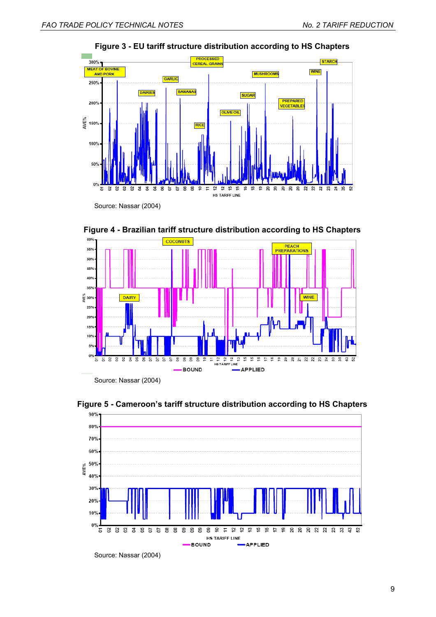

# **Figure 3 - EU tariff structure distribution according to HS Chapters**



**Figure 5 - Cameroon's tariff structure distribution according to HS Chapters** 



Source: Nassar (2004)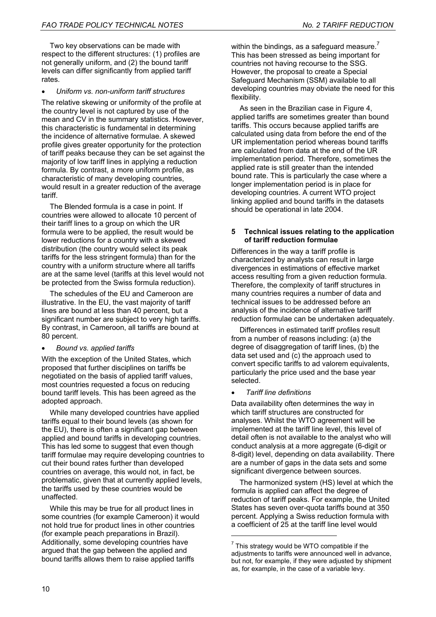Two key observations can be made with respect to the different structures: (1) profiles are not generally uniform, and (2) the bound tariff levels can differ significantly from applied tariff rates.

# • *Uniform vs. non-uniform tariff structures*

The relative skewing or uniformity of the profile at the country level is not captured by use of the mean and CV in the summary statistics. However, this characteristic is fundamental in determining the incidence of alternative formulae. A skewed profile gives greater opportunity for the protection of tariff peaks because they can be set against the majority of low tariff lines in applying a reduction formula. By contrast, a more uniform profile, as characteristic of many developing countries, would result in a greater reduction of the average tariff.

The Blended formula is a case in point. If countries were allowed to allocate 10 percent of their tariff lines to a group on which the UR formula were to be applied, the result would be lower reductions for a country with a skewed distribution (the country would select its peak tariffs for the less stringent formula) than for the country with a uniform structure where all tariffs are at the same level (tariffs at this level would not be protected from the Swiss formula reduction).

The schedules of the EU and Cameroon are illustrative. In the EU, the vast majority of tariff lines are bound at less than 40 percent, but a significant number are subject to very high tariffs. By contrast, in Cameroon, all tariffs are bound at 80 percent.

### • *Bound vs. applied tariffs*

With the exception of the United States, which proposed that further disciplines on tariffs be negotiated on the basis of applied tariff values, most countries requested a focus on reducing bound tariff levels. This has been agreed as the adopted approach.

While many developed countries have applied tariffs equal to their bound levels (as shown for the EU), there is often a significant gap between applied and bound tariffs in developing countries. This has led some to suggest that even though tariff formulae may require developing countries to cut their bound rates further than developed countries on average, this would not, in fact, be problematic, given that at currently applied levels, the tariffs used by these countries would be unaffected.

While this may be true for all product lines in some countries (for example Cameroon) it would not hold true for product lines in other countries (for example peach preparations in Brazil). Additionally, some developing countries have argued that the gap between the applied and bound tariffs allows them to raise applied tariffs

within the bindings, as a safeguard measure. $<sup>7</sup>$ </sup> This has been stressed as being important for countries not having recourse to the SSG. However, the proposal to create a Special Safeguard Mechanism (SSM) available to all developing countries may obviate the need for this flexibility.

As seen in the Brazilian case in Figure 4, applied tariffs are sometimes greater than bound tariffs. This occurs because applied tariffs are calculated using data from before the end of the UR implementation period whereas bound tariffs are calculated from data at the end of the UR implementation period. Therefore, sometimes the applied rate is still greater than the intended bound rate. This is particularly the case where a longer implementation period is in place for developing countries. A current WTO project linking applied and bound tariffs in the datasets should be operational in late 2004.

# **5 Technical issues relating to the application of tariff reduction formulae**

Differences in the way a tariff profile is characterized by analysts can result in large divergences in estimations of effective market access resulting from a given reduction formula. Therefore, the complexity of tariff structures in many countries requires a number of data and technical issues to be addressed before an analysis of the incidence of alternative tariff reduction formulae can be undertaken adequately.

Differences in estimated tariff profiles result from a number of reasons including: (a) the degree of disaggregation of tariff lines, (b) the data set used and (c) the approach used to convert specific tariffs to ad valorem equivalents, particularly the price used and the base year selected.

#### • *Tariff line definitions*

 $\overline{a}$ 

Data availability often determines the way in which tariff structures are constructed for analyses. Whilst the WTO agreement will be implemented at the tariff line level, this level of detail often is not available to the analyst who will conduct analysis at a more aggregate (6-digit or 8-digit) level, depending on data availability. There are a number of gaps in the data sets and some significant divergence between sources.

The harmonized system (HS) level at which the formula is applied can affect the degree of reduction of tariff peaks. For example, the United States has seven over-quota tariffs bound at 350 percent. Applying a Swiss reduction formula with a coefficient of 25 at the tariff line level would

 $7$  This strategy would be WTO compatible if the adjustments to tariffs were announced well in advance, but not, for example, if they were adjusted by shipment as, for example, in the case of a variable levy.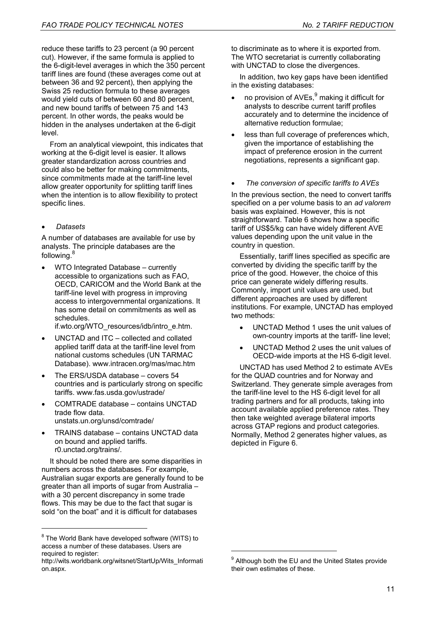reduce these tariffs to 23 percent (a 90 percent cut). However, if the same formula is applied to the 6-digit-level averages in which the 350 percent tariff lines are found (these averages come out at between 36 and 92 percent), then applying the Swiss 25 reduction formula to these averages would yield cuts of between 60 and 80 percent, and new bound tariffs of between 75 and 143 percent. In other words, the peaks would be hidden in the analyses undertaken at the 6-digit level.

From an analytical viewpoint, this indicates that working at the 6-digit level is easier. It allows greater standardization across countries and could also be better for making commitments, since commitments made at the tariff-line level allow greater opportunity for splitting tariff lines when the intention is to allow flexibility to protect specific lines.

# • *Datasets*

l

A number of databases are available for use by analysts. The principle databases are the following.8

• WTO Integrated Database – currently accessible to organizations such as FAO, OECD, CARICOM and the World Bank at the tariff-line level with progress in improving access to intergovernmental organizations. It has some detail on commitments as well as schedules.

if.wto.org/WTO\_resources/idb/intro\_e.htm.

- UNCTAD and ITC collected and collated applied tariff data at the tariff-line level from national customs schedules (UN TARMAC Database). www.intracen.org/mas/mac.htm
- The ERS/USDA database covers 54 countries and is particularly strong on specific tariffs. www.fas.usda.gov/ustrade/
- COMTRADE database contains UNCTAD trade flow data. unstats.un.org/unsd/comtrade/
- TRAINS database contains UNCTAD data on bound and applied tariffs. r0.unctad.org/trains/.

It should be noted there are some disparities in numbers across the databases. For example, Australian sugar exports are generally found to be greater than all imports of sugar from Australia – with a 30 percent discrepancy in some trade flows. This may be due to the fact that sugar is sold "on the boat" and it is difficult for databases

to discriminate as to where it is exported from. The WTO secretariat is currently collaborating with UNCTAD to close the divergences.

In addition, two key gaps have been identified in the existing databases:

- no provision of AVEs, $9$  making it difficult for analysts to describe current tariff profiles accurately and to determine the incidence of alternative reduction formulae;
- less than full coverage of preferences which, given the importance of establishing the impact of preference erosion in the current negotiations, represents a significant gap.
- *The conversion of specific tariffs to AVEs*

In the previous section, the need to convert tariffs specified on a per volume basis to an *ad valorem* basis was explained. However, this is not straightforward. Table 6 shows how a specific tariff of US\$5/kg can have widely different AVE values depending upon the unit value in the country in question.

Essentially, tariff lines specified as specific are converted by dividing the specific tariff by the price of the good. However, the choice of this price can generate widely differing results. Commonly, import unit values are used, but different approaches are used by different institutions. For example, UNCTAD has employed two methods:

- UNCTAD Method 1 uses the unit values of own-country imports at the tariff- line level;
- UNCTAD Method 2 uses the unit values of OECD-wide imports at the HS 6-digit level.

UNCTAD has used Method 2 to estimate AVEs for the QUAD countries and for Norway and Switzerland. They generate simple averages from the tariff-line level to the HS 6-digit level for all trading partners and for all products, taking into account available applied preference rates. They then take weighted average bilateral imports across GTAP regions and product categories. Normally, Method 2 generates higher values, as depicted in Figure 6.

l

<sup>&</sup>lt;sup>8</sup> The World Bank have developed software (WITS) to access a number of these databases. Users are required to register:

http://wits.worldbank.org/witsnet/StartUp/Wits\_Informati on.aspx.

<sup>&</sup>lt;sup>9</sup> Although both the EU and the United States provide their own estimates of these.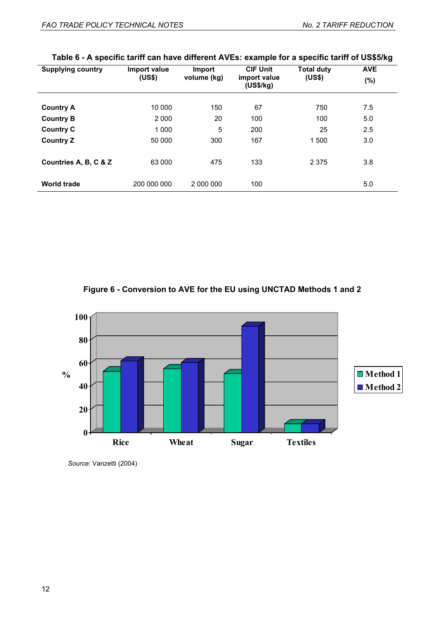| <b>Supplying country</b> | Import value<br>(US\$) | Import<br>volume (kg) | <b>CIF Unit</b><br>import value<br>(US\$/kg) | <b>Total duty</b><br>(US\$) | <b>AVE</b><br>$(\%)$ |
|--------------------------|------------------------|-----------------------|----------------------------------------------|-----------------------------|----------------------|
| <b>Country A</b>         | 10 000                 | 150                   | 67                                           | 750                         | 7.5                  |
| <b>Country B</b>         | 2 0 0 0                | 20                    | 100                                          | 100                         | 5.0                  |
| <b>Country C</b>         | 1 0 0 0                | 5                     | 200                                          | 25                          | 2.5                  |
| <b>Country Z</b>         | 50 000                 | 300                   | 167                                          | 1 500                       | 3.0                  |
| Countries A, B, C & Z    | 63 000                 | 475                   | 133                                          | 2 3 7 5                     | 3.8                  |
| <b>World trade</b>       | 200 000 000            | 2 000 000             | 100                                          |                             | 5.0                  |

|  |  |  | Table 6 - A specific tariff can have different AVEs: example for a specific tariff of US\$5/kg |
|--|--|--|------------------------------------------------------------------------------------------------|
|  |  |  |                                                                                                |





*Source*: Vanzetti (2004)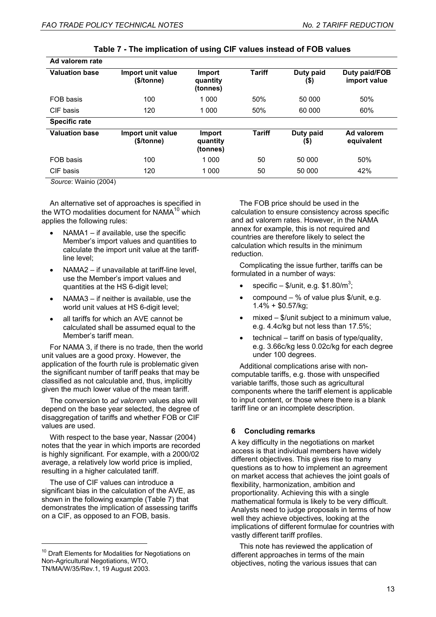| Ad valorem rate       |                                 |                                       |               |                   |                               |  |  |  |
|-----------------------|---------------------------------|---------------------------------------|---------------|-------------------|-------------------------------|--|--|--|
| <b>Valuation base</b> | Import unit value<br>(\$/tonne) | <b>Import</b><br>quantity<br>(tonnes) | <b>Tariff</b> | Duty paid<br>(\$) | Duty paid/FOB<br>import value |  |  |  |
| FOB basis             | 100                             | 1 000                                 | 50%           | 50 000            | 50%                           |  |  |  |
| CIF basis             | 120                             | 1 0 0 0                               | 50%           | 60 000            | 60%                           |  |  |  |
| <b>Specific rate</b>  |                                 |                                       |               |                   |                               |  |  |  |
| <b>Valuation base</b> | Import unit value<br>(\$/tonne) | <b>Import</b><br>quantity<br>(tonnes) | <b>Tariff</b> | Duty paid<br>(\$) | Ad valorem<br>equivalent      |  |  |  |
| FOB basis             | 100                             | 1 000                                 | 50            | 50 000            | 50%                           |  |  |  |
| CIF basis             | 120                             | 1 0 0 0                               | 50            | 50 000            | 42%                           |  |  |  |

# **Table 7 - The implication of using CIF values instead of FOB values**

*Source*: Wainio (2004)

An alternative set of approaches is specified in the WTO modalities document for NAMA<sup>10</sup> which applies the following rules:

- $NAMA1 if available, use the specific$ Member's import values and quantities to calculate the import unit value at the tariffline level;
- NAMA2 if unavailable at tariff-line level, use the Member's import values and quantities at the HS 6-digit level;
- NAMA3 if neither is available, use the world unit values at HS 6-digit level;
- all tariffs for which an AVE cannot be calculated shall be assumed equal to the Member's tariff mean.

For NAMA 3, if there is no trade, then the world unit values are a good proxy. However, the application of the fourth rule is problematic given the significant number of tariff peaks that may be classified as not calculable and, thus, implicitly given the much lower value of the mean tariff.

The conversion to *ad valorem* values also will depend on the base year selected, the degree of disaggregation of tariffs and whether FOB or CIF values are used.

With respect to the base year, Nassar (2004) notes that the year in which imports are recorded is highly significant. For example, with a 2000/02 average, a relatively low world price is implied, resulting in a higher calculated tariff.

The use of CIF values can introduce a significant bias in the calculation of the AVE, as shown in the following example (Table 7) that demonstrates the implication of assessing tariffs on a CIF, as opposed to an FOB, basis.

l

The FOB price should be used in the calculation to ensure consistency across specific and ad valorem rates. However, in the NAMA annex for example, this is not required and countries are therefore likely to select the calculation which results in the minimum reduction.

Complicating the issue further, tariffs can be formulated in a number of ways:

- specific  $\frac{2}{\pi}$  e.g. \$1.80/m<sup>3</sup>;
- compound  $-$  % of value plus \$/unit, e.g. 1.4% + \$0.57/kg;
- mixed \$/unit subject to a minimum value, e.g. 4.4c/kg but not less than 17.5%;
- technical tariff on basis of type/quality, e.g. 3.66c/kg less 0.02c/kg for each degree under 100 degrees.

Additional complications arise with noncomputable tariffs, e.g. those with unspecified variable tariffs, those such as agricultural components where the tariff element is applicable to input content, or those where there is a blank tariff line or an incomplete description.

# **6 Concluding remarks**

A key difficulty in the negotiations on market access is that individual members have widely different objectives. This gives rise to many questions as to how to implement an agreement on market access that achieves the joint goals of flexibility, harmonization, ambition and proportionality. Achieving this with a single mathematical formula is likely to be very difficult. Analysts need to judge proposals in terms of how well they achieve objectives, looking at the implications of different formulae for countries with vastly different tariff profiles.

This note has reviewed the application of different approaches in terms of the main objectives, noting the various issues that can

<sup>&</sup>lt;sup>10</sup> Draft Elements for Modalities for Negotiations on Non-Agricultural Negotiations, WTO, TN/MA/W/35/Rev.1, 19 August 2003.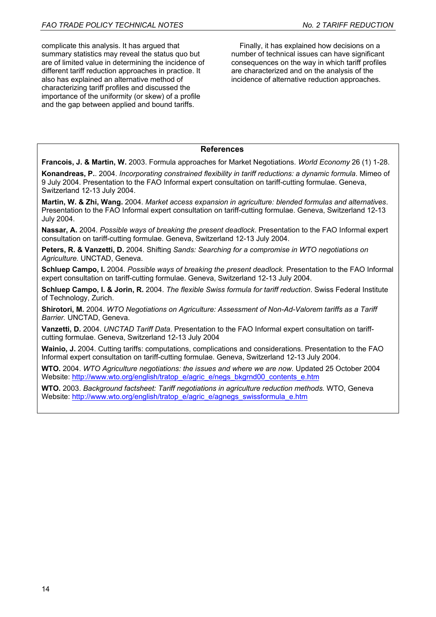complicate this analysis. It has argued that summary statistics may reveal the status quo but are of limited value in determining the incidence of different tariff reduction approaches in practice. It also has explained an alternative method of characterizing tariff profiles and discussed the importance of the uniformity (or skew) of a profile and the gap between applied and bound tariffs.

Finally, it has explained how decisions on a number of technical issues can have significant consequences on the way in which tariff profiles are characterized and on the analysis of the incidence of alternative reduction approaches.

# **References**

**Francois, J. & Martin, W.** 2003. Formula approaches for Market Negotiations. *World Economy* 26 (1) 1-28.

**Konandreas, P.**. 2004. *Incorporating constrained flexibility in tariff reductions: a dynamic formula*. Mimeo of 9 July 2004. Presentation to the FAO Informal expert consultation on tariff-cutting formulae. Geneva, Switzerland 12-13 July 2004.

**Martin, W. & Zhi, Wang.** 2004. *Market access expansion in agriculture: blended formulas and alternatives*. Presentation to the FAO Informal expert consultation on tariff-cutting formulae. Geneva, Switzerland 12-13 July 2004.

**Nassar, A.** 2004. *Possible ways of breaking the present deadlock*. Presentation to the FAO Informal expert consultation on tariff-cutting formulae. Geneva, Switzerland 12-13 July 2004.

**Peters, R. & Vanzetti, D.** 2004. Shifting *Sands: Searching for a compromise in WTO negotiations on Agriculture.* UNCTAD, Geneva.

**Schluep Campo, I.** 2004. *Possible ways of breaking the present deadlock.* Presentation to the FAO Informal expert consultation on tariff-cutting formulae. Geneva, Switzerland 12-13 July 2004.

**Schluep Campo, I. & Jorin, R.** 2004. *The flexible Swiss formula for tariff reduction*. Swiss Federal Institute of Technology, Zurich.

**Shirotori, M.** 2004. *WTO Negotiations on Agriculture: Assessment of Non-Ad-Valorem tariffs as a Tariff Barrier.* UNCTAD, Geneva.

**Vanzetti, D.** 2004. *UNCTAD Tariff Data*. Presentation to the FAO Informal expert consultation on tariffcutting formulae. Geneva, Switzerland 12-13 July 2004

**Wainio, J.** 2004. Cutting tariffs: computations, complications and considerations. Presentation to the FAO Informal expert consultation on tariff-cutting formulae. Geneva, Switzerland 12-13 July 2004.

**WTO.** 2004. *WTO Agriculture negotiations: the issues and where we are now.* Updated 25 October 2004 Website: http://www.wto.org/english/tratop\_e/agric\_e/negs\_bkgrnd00\_contents\_e.htm

**WTO.** 2003. *Background factsheet: Tariff negotiations in agriculture reduction methods.* WTO, Geneva Website: http://www.wto.org/english/tratop\_e/agric\_e/agnegs\_swissformula\_e.htm